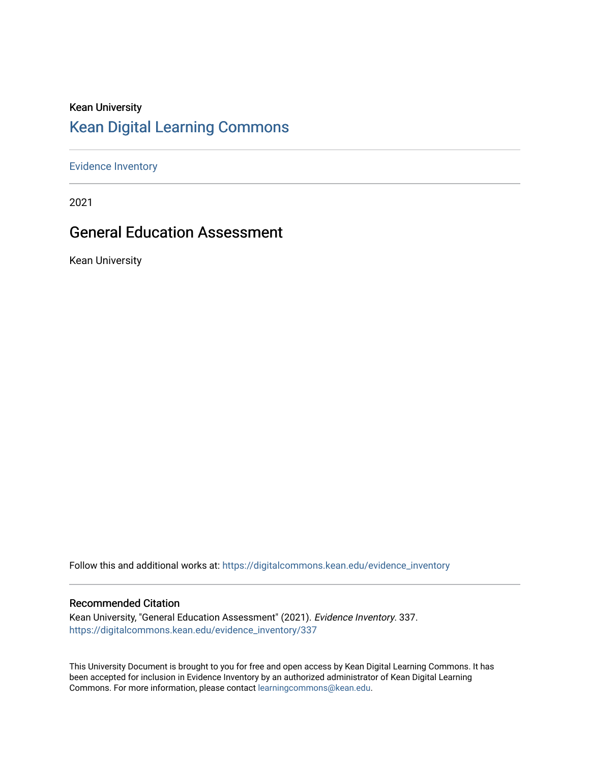#### Kean University [Kean Digital Learning Commons](https://digitalcommons.kean.edu/)

[Evidence Inventory](https://digitalcommons.kean.edu/evidence_inventory) 

2021

#### General Education Assessment

Kean University

Follow this and additional works at: [https://digitalcommons.kean.edu/evidence\\_inventory](https://digitalcommons.kean.edu/evidence_inventory?utm_source=digitalcommons.kean.edu%2Fevidence_inventory%2F337&utm_medium=PDF&utm_campaign=PDFCoverPages)

#### Recommended Citation

Kean University, "General Education Assessment" (2021). Evidence Inventory. 337. [https://digitalcommons.kean.edu/evidence\\_inventory/337](https://digitalcommons.kean.edu/evidence_inventory/337?utm_source=digitalcommons.kean.edu%2Fevidence_inventory%2F337&utm_medium=PDF&utm_campaign=PDFCoverPages)

This University Document is brought to you for free and open access by Kean Digital Learning Commons. It has been accepted for inclusion in Evidence Inventory by an authorized administrator of Kean Digital Learning Commons. For more information, please contact [learningcommons@kean.edu.](mailto:learningcommons@kean.edu)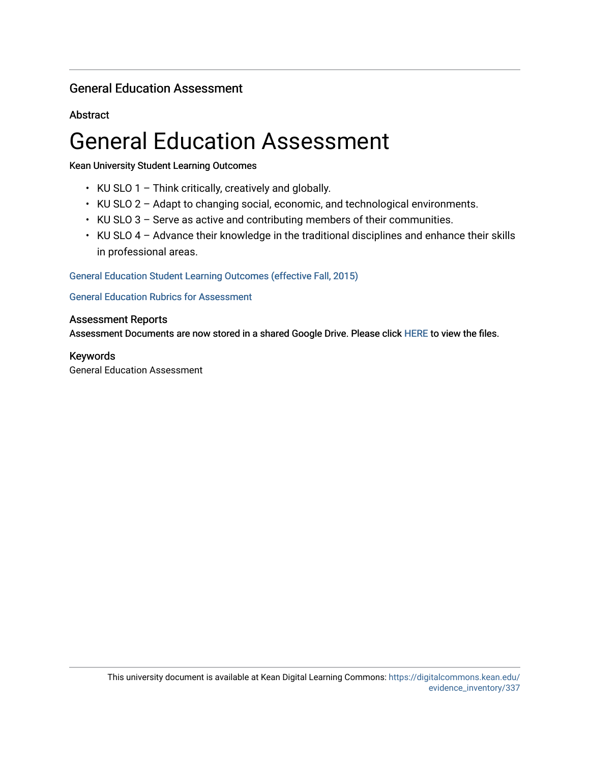#### General Education Assessment

**Abstract** 

## General Education Assessment

Kean University Student Learning Outcomes

- $\cdot$  KU SLO 1 Think critically, creatively and globally.
- KU SLO 2 Adapt to changing social, economic, and technological environments.
- KU SLO 3 Serve as active and contributing members of their communities.
- KU SLO 4 Advance their knowledge in the traditional disciplines and enhance their skills in professional areas.

General Education Student Learning Outcomes (effective Fall, 2015)

[General Education Rubrics for Assessment](https://drive.google.com/drive/folders/1KscKCHhWfQX1vZkX264nPcE0WuNC-cwc) 

#### Assessment Reports

Assessment Documents are now stored in a shared Google Drive. Please click [HERE](https://drive.google.com/folderview?id=0B1RdZwTyKl47b0VHVzFGSUhCeTg&usp=sharing) to view the files.

#### Keywords

General Education Assessment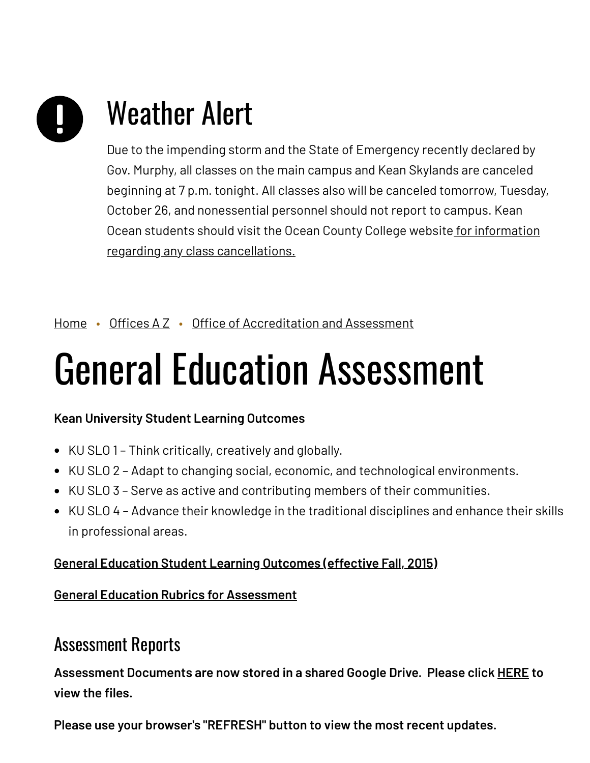# Weather Alert

Due to the impending storm and the State of Emergency recently declared by Gov. Murphy, all classes on the main campus and Kean Skylands are canceled beginning at 7 p.m. tonight. All classes also will be canceled tomorrow, Tuesday, October 26, and nonessential personnel should not report to campus. Kean Ocean students should visit the Ocean County College website for information regarding any class [cancellations.](https://www.ocean.edu/)

#### [Home](https://www.kean.edu/) • [Offices](https://www.kean.edu/offices) AZ • Office of [Accreditation](https://www.kean.edu/offices/accreditation-and-assessment) and Assessment

## General Education Assessment

#### **Kean University Student Learning Outcomes**

- KU SLO 1 Think critically, creatively and globally.
- KU SLO 2 Adapt to changing social, economic, and technological environments.
- KU SLO 3 Serve as active and contributing members of their communities.
- KU SLO 4 Advance their knowledge in the traditional disciplines and enhance their skills in professional areas.

#### **General [Education](https://www.kean.edu/academics/college-liberal-arts/school-general-studies/general-education-program-assessment) Student Learning Outcomes (effective Fall, 2015)**

#### **General Education Rubrics for [Assessment](https://drive.google.com/drive/folders/1KscKCHhWfQX1vZkX264nPcE0WuNC-cwc)**

### Assessment Reports

**Assessment Documents are now stored in a shared Google Drive. Please click [HERE](https://drive.google.com/folderview?id=0B1RdZwTyKl47b0VHVzFGSUhCeTg&usp=sharing) to view the files.**

**Please use your browser's "REFRESH" button to view the most recent updates.**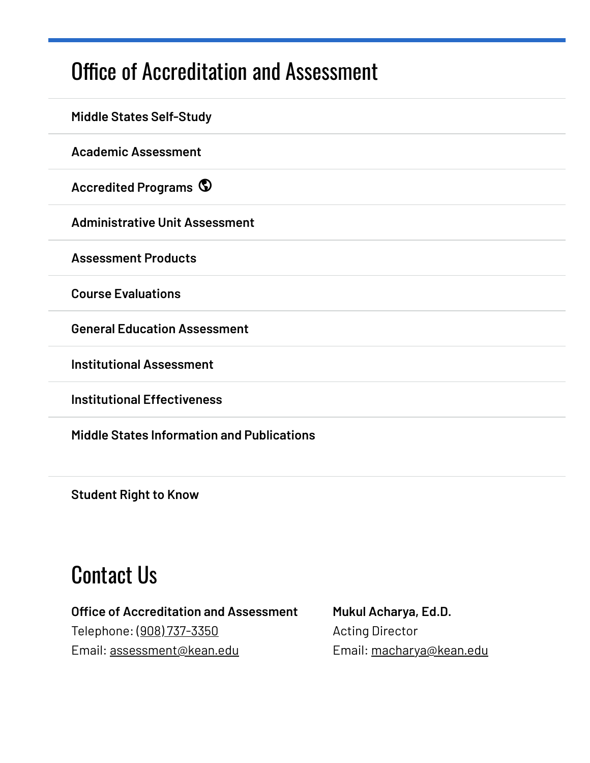## Office of [Accreditation](https://www.kean.edu/offices/accreditation-and-assessment) and Assessment

| <b>Middle States Self-Study</b>                   |
|---------------------------------------------------|
| <b>Academic Assessment</b>                        |
| <b>Accredited Programs ©</b>                      |
| <b>Administrative Unit Assessment</b>             |
| <b>Assessment Products</b>                        |
| <b>Course Evaluations</b>                         |
| <b>General Education Assessment</b>               |
| <b>Institutional Assessment</b>                   |
| <b>Institutional Effectiveness</b>                |
| <b>Middle States Information and Publications</b> |

**[Student](https://www.kean.edu/offices/accreditation-and-assessment/student-right-know) Right to Know**

## Contact Us

#### **Office of Accreditation and Assessment** Telephone: (908) [737-3350](tel:%28908%29737-3350) Email: [assessment@kean.edu](mailto:assessment@kean.edu)

**Mukul Acharya, Ed.D.** Acting Director Email: [macharya@kean.edu](mailto:macharya@kean.edu)